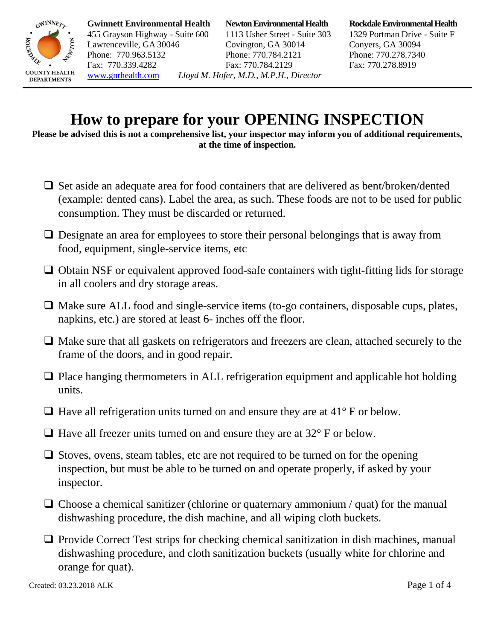

**Gwinnett Environmental Health Newton Environmental Health Rockdale Environmental Health**

455 Grayson Highway - Suite 600 1113 Usher Street - Suite 303 1329 Portman Drive - Suite F Lawrenceville, GA 30046 Covington, GA 30014 Conyers, GA 30094 Phone: 770.963.5132 Phone: 770.784.2121 Phone: 770.278.7340 Fax: 770.339.4282 Fax: 770.784.2129 Fax: 770.278.8919 www.gnrhealth.com *Lloyd M. Hofer, M.D., M.P.H., Director*

# **How to prepare for your OPENING INSPECTION**

**Please be advised this is not a comprehensive list, your inspector may inform you of additional requirements, at the time of inspection.**

- $\Box$  Set aside an adequate area for food containers that are delivered as bent/broken/dented (example: dented cans). Label the area, as such. These foods are not to be used for public consumption. They must be discarded or returned.
- $\Box$  Designate an area for employees to store their personal belongings that is away from food, equipment, single-service items, etc
- $\Box$  Obtain NSF or equivalent approved food-safe containers with tight-fitting lids for storage in all coolers and dry storage areas.
- $\Box$  Make sure ALL food and single-service items (to-go containers, disposable cups, plates, napkins, etc.) are stored at least 6- inches off the floor.
- $\Box$  Make sure that all gaskets on refrigerators and freezers are clean, attached securely to the frame of the doors, and in good repair.
- $\Box$  Place hanging thermometers in ALL refrigeration equipment and applicable hot holding units.
- $\Box$  Have all refrigeration units turned on and ensure they are at 41 $\degree$  F or below.
- $\Box$  Have all freezer units turned on and ensure they are at 32 $\degree$  F or below.
- $\Box$  Stoves, ovens, steam tables, etc are not required to be turned on for the opening inspection, but must be able to be turned on and operate properly, if asked by your inspector.
- $\Box$  Choose a chemical sanitizer (chlorine or quaternary ammonium / quat) for the manual dishwashing procedure, the dish machine, and all wiping cloth buckets.
- $\Box$  Provide Correct Test strips for checking chemical sanitization in dish machines, manual dishwashing procedure, and cloth sanitization buckets (usually white for chlorine and orange for quat).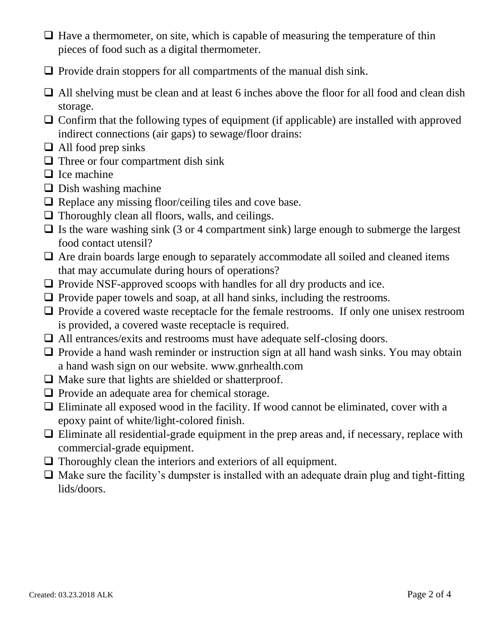- $\Box$  Have a thermometer, on site, which is capable of measuring the temperature of thin pieces of food such as a digital thermometer.
- $\Box$  Provide drain stoppers for all compartments of the manual dish sink.
- $\Box$  All shelving must be clean and at least 6 inches above the floor for all food and clean dish storage.
- $\Box$  Confirm that the following types of equipment (if applicable) are installed with approved indirect connections (air gaps) to sewage/floor drains:
- $\Box$  All food prep sinks
- $\Box$  Three or four compartment dish sink
- $\Box$  Ice machine
- $\Box$  Dish washing machine
- $\Box$  Replace any missing floor/ceiling tiles and cove base.
- $\Box$  Thoroughly clean all floors, walls, and ceilings.
- $\Box$  Is the ware washing sink (3 or 4 compartment sink) large enough to submerge the largest food contact utensil?
- $\Box$  Are drain boards large enough to separately accommodate all soiled and cleaned items that may accumulate during hours of operations?
- $\Box$  Provide NSF-approved scoops with handles for all dry products and ice.
- $\Box$  Provide paper towels and soap, at all hand sinks, including the restrooms.
- $\Box$  Provide a covered waste receptacle for the female restrooms. If only one unisex restroom is provided, a covered waste receptacle is required.
- $\Box$  All entrances/exits and restrooms must have adequate self-closing doors.
- $\Box$  Provide a hand wash reminder or instruction sign at all hand wash sinks. You may obtain a hand wash sign on our website. www.gnrhealth.com
- $\Box$  Make sure that lights are shielded or shatterproof.
- $\Box$  Provide an adequate area for chemical storage.
- $\Box$  Eliminate all exposed wood in the facility. If wood cannot be eliminated, cover with a epoxy paint of white/light-colored finish.
- $\Box$  Eliminate all residential-grade equipment in the prep areas and, if necessary, replace with commercial-grade equipment.
- $\Box$  Thoroughly clean the interiors and exteriors of all equipment.
- $\Box$  Make sure the facility's dumpster is installed with an adequate drain plug and tight-fitting lids/doors.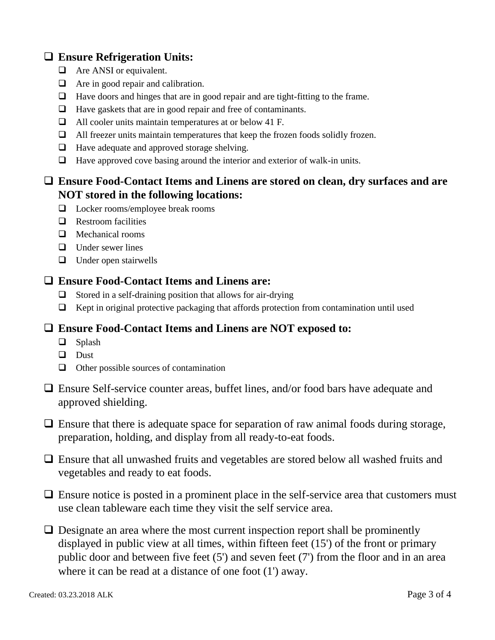## **Ensure Refrigeration Units:**

- $\Box$  Are ANSI or equivalent.
- □ Are in good repair and calibration.
- $\Box$  Have doors and hinges that are in good repair and are tight-fitting to the frame.
- $\Box$  Have gaskets that are in good repair and free of contaminants.
- All cooler units maintain temperatures at or below 41 F.
- All freezer units maintain temperatures that keep the frozen foods solidly frozen.
- $\Box$  Have adequate and approved storage shelving.
- $\Box$  Have approved cove basing around the interior and exterior of walk-in units.

### **Ensure Food-Contact Items and Linens are stored on clean, dry surfaces and are NOT stored in the following locations:**

- Locker rooms/employee break rooms
- $\Box$  Restroom facilities
- $\Box$  Mechanical rooms
- $\Box$  Under sewer lines
- $\Box$  Under open stairwells

#### **Ensure Food-Contact Items and Linens are:**

- $\Box$  Stored in a self-draining position that allows for air-drying
- $\Box$  Kept in original protective packaging that affords protection from contamination until used

#### **Ensure Food-Contact Items and Linens are NOT exposed to:**

- □ Splash
- **Q** Dust
- $\Box$  Other possible sources of contamination
- Ensure Self-service counter areas, buffet lines, and/or food bars have adequate and approved shielding.
- $\Box$  Ensure that there is adequate space for separation of raw animal foods during storage, preparation, holding, and display from all ready-to-eat foods.
- Ensure that all unwashed fruits and vegetables are stored below all washed fruits and vegetables and ready to eat foods.
- $\Box$  Ensure notice is posted in a prominent place in the self-service area that customers must use clean tableware each time they visit the self service area.
- $\Box$  Designate an area where the most current inspection report shall be prominently displayed in public view at all times, within fifteen feet (15') of the front or primary public door and between five feet (5') and seven feet (7') from the floor and in an area where it can be read at a distance of one foot (1') away.